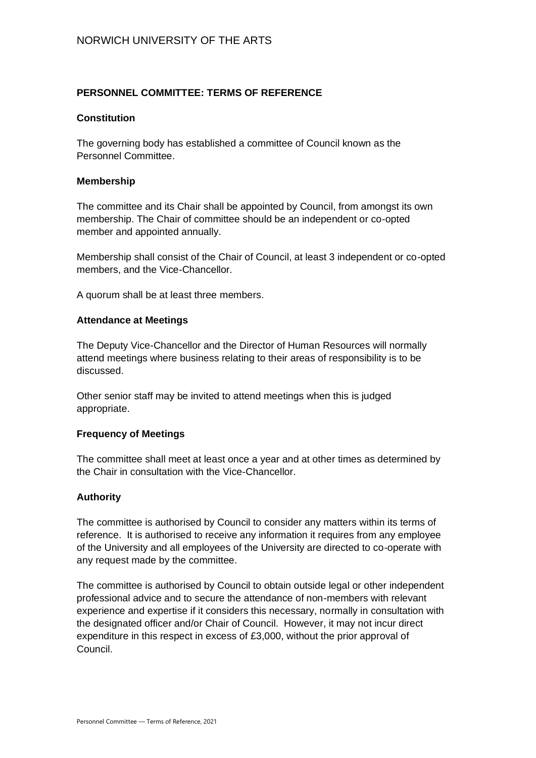# **PERSONNEL COMMITTEE: TERMS OF REFERENCE**

#### **Constitution**

The governing body has established a committee of Council known as the Personnel Committee.

#### **Membership**

The committee and its Chair shall be appointed by Council, from amongst its own membership. The Chair of committee should be an independent or co-opted member and appointed annually.

Membership shall consist of the Chair of Council, at least 3 independent or co-opted members, and the Vice-Chancellor.

A quorum shall be at least three members.

#### **Attendance at Meetings**

The Deputy Vice-Chancellor and the Director of Human Resources will normally attend meetings where business relating to their areas of responsibility is to be discussed.

Other senior staff may be invited to attend meetings when this is judged appropriate.

## **Frequency of Meetings**

The committee shall meet at least once a year and at other times as determined by the Chair in consultation with the Vice-Chancellor.

## **Authority**

The committee is authorised by Council to consider any matters within its terms of reference. It is authorised to receive any information it requires from any employee of the University and all employees of the University are directed to co-operate with any request made by the committee.

The committee is authorised by Council to obtain outside legal or other independent professional advice and to secure the attendance of non-members with relevant experience and expertise if it considers this necessary, normally in consultation with the designated officer and/or Chair of Council. However, it may not incur direct expenditure in this respect in excess of £3,000, without the prior approval of Council.